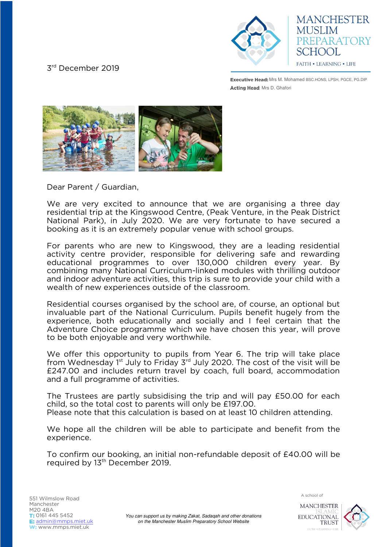## 3 rd December 2019



**MANCHESTER MUSLIM** PREPARATORY SCHOOL **FAITH • LEARNING • LIFE** 

**Executive Head:** Mrs M. Mohamed BSC.HONS, LPSH, PGCE, PG.DIP Acting Head: Mrs D. Ghafori



Dear Parent / Guardian,

We are very excited to announce that we are organising a three day residential trip at the Kingswood Centre, (Peak Venture, in the Peak District National Park), in July 2020. We are very fortunate to have secured a booking as it is an extremely popular venue with school groups.

For parents who are new to Kingswood, they are a leading residential activity centre provider, responsible for delivering safe and rewarding educational programmes to over 130,000 children every year. By combining many National Curriculum-linked modules with thrilling outdoor and indoor adventure activities, this trip is sure to provide your child with a wealth of new experiences outside of the classroom.

Residential courses organised by the school are, of course, an optional but invaluable part of the National Curriculum. Pupils benefit hugely from the experience, both educationally and socially and I feel certain that the Adventure Choice programme which we have chosen this year, will prove to be both enjoyable and very worthwhile.

We offer this opportunity to pupils from Year 6. The trip will take place from Wednesday  $1<sup>st</sup>$  July to Friday  $3<sup>rd</sup>$  July 2020. The cost of the visit will be £247.00 and includes return travel by coach, full board, accommodation and a full programme of activities.

The Trustees are partly subsidising the trip and will pay £50.00 for each child, so the total cost to parents will only be £197.00. Please note that this calculation is based on at least 10 children attending.

We hope all the children will be able to participate and benefit from the experience.

To confirm our booking, an initial non-refundable deposit of £40.00 will be required by 13<sup>th</sup> December 2019.